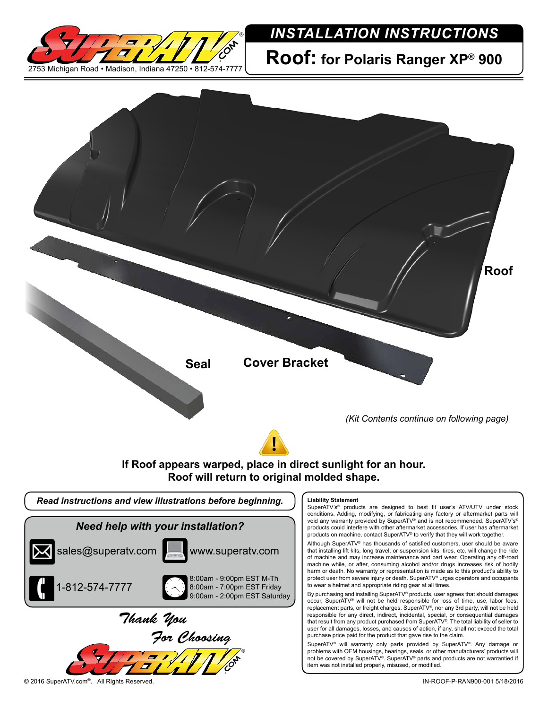

## *INSTALLATION INSTRUCTIONS*

**Roof: for Polaris Ranger XP® 900**



8:00am - 9:00pm EST M-Th 8:00am - 7:00pm EST Friday 9:00am - 2:00pm EST Saturday that installing lift kits, long travel, or suspension kits, tires, etc. will change the ride of machine and may increase maintenance and part wear. Operating any off-road machine while, or after, consuming alcohol and/or drugs increases risk of bodily harm or death. No warranty or representation is made as to this product's ability to protect user from severe injury or death. SuperATV® urges operators and occupants to wear a helmet and appropriate riding gear at all times.

By purchasing and installing SuperATV® products, user agrees that should damages occur, SuperATV® will not be held responsible for loss of time, use, labor fees, replacement parts, or freight charges. SuperATV®, nor any 3rd party, will not be held responsible for any direct, indirect, incidental, special, or consequential damages that result from any product purchased from SuperATV®. The total liability of seller to user for all damages, losses, and causes of action, if any, shall not exceed the total purchase price paid for the product that gave rise to the claim.

SuperATV® will warranty only parts provided by SuperATV®. Any damage or problems with OEM housings, bearings, seals, or other manufacturers' products will not be covered by SuperATV®. SuperATV® parts and products are not warrantied if item was not installed properly, misused, or modified.

1-812-574-7777

*Thank You*

*For Choosing*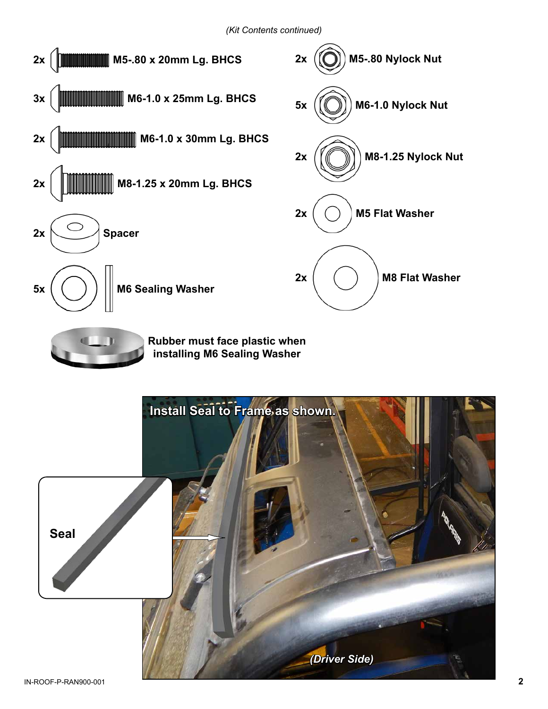

**Rubber must face plastic when installing M6 Sealing Washer**

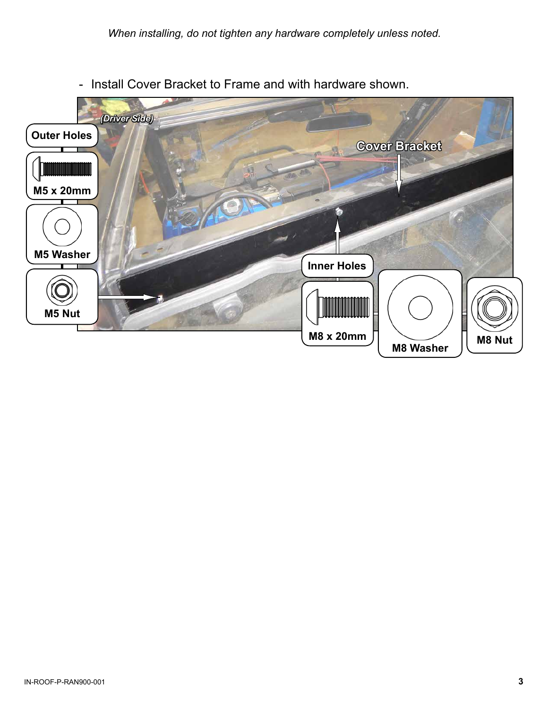

- Install Cover Bracket to Frame and with hardware shown.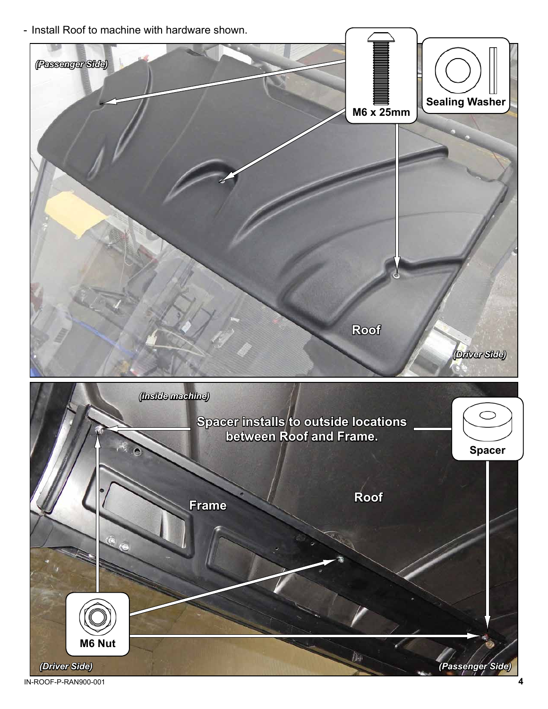